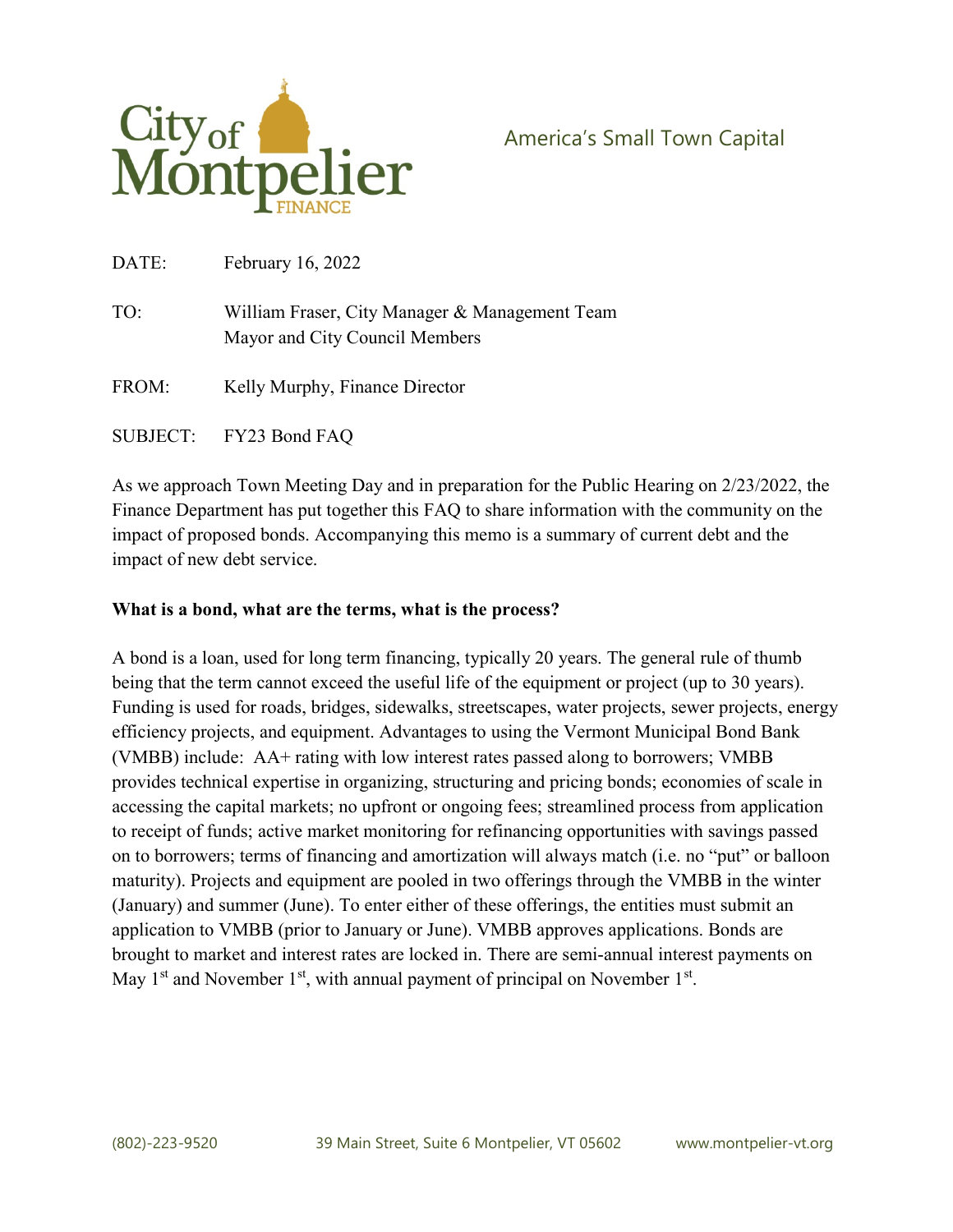

America's Small Town Capital

| DATE: | <b>February 16, 2022</b>                                                         |
|-------|----------------------------------------------------------------------------------|
| TO:   | William Fraser, City Manager & Management Team<br>Mayor and City Council Members |
| FROM: | Kelly Murphy, Finance Director                                                   |

SUBJECT: FY23 Bond FAQ

As we approach Town Meeting Day and in preparation for the Public Hearing on 2/23/2022, the Finance Department has put together this FAQ to share information with the community on the impact of proposed bonds. Accompanying this memo is a summary of current debt and the impact of new debt service.

#### What is a bond, what are the terms, what is the process?

A bond is a loan, used for long term financing, typically 20 years. The general rule of thumb being that the term cannot exceed the useful life of the equipment or project (up to 30 years). Funding is used for roads, bridges, sidewalks, streetscapes, water projects, sewer projects, energy efficiency projects, and equipment. Advantages to using the Vermont Municipal Bond Bank (VMBB) include: AA+ rating with low interest rates passed along to borrowers; VMBB provides technical expertise in organizing, structuring and pricing bonds; economies of scale in accessing the capital markets; no upfront or ongoing fees; streamlined process from application to receipt of funds; active market monitoring for refinancing opportunities with savings passed on to borrowers; terms of financing and amortization will always match (i.e. no "put" or balloon maturity). Projects and equipment are pooled in two offerings through the VMBB in the winter (January) and summer (June). To enter either of these offerings, the entities must submit an application to VMBB (prior to January or June). VMBB approves applications. Bonds are brought to market and interest rates are locked in. There are semi-annual interest payments on May  $1<sup>st</sup>$  and November  $1<sup>st</sup>$ , with annual payment of principal on November  $1<sup>st</sup>$ .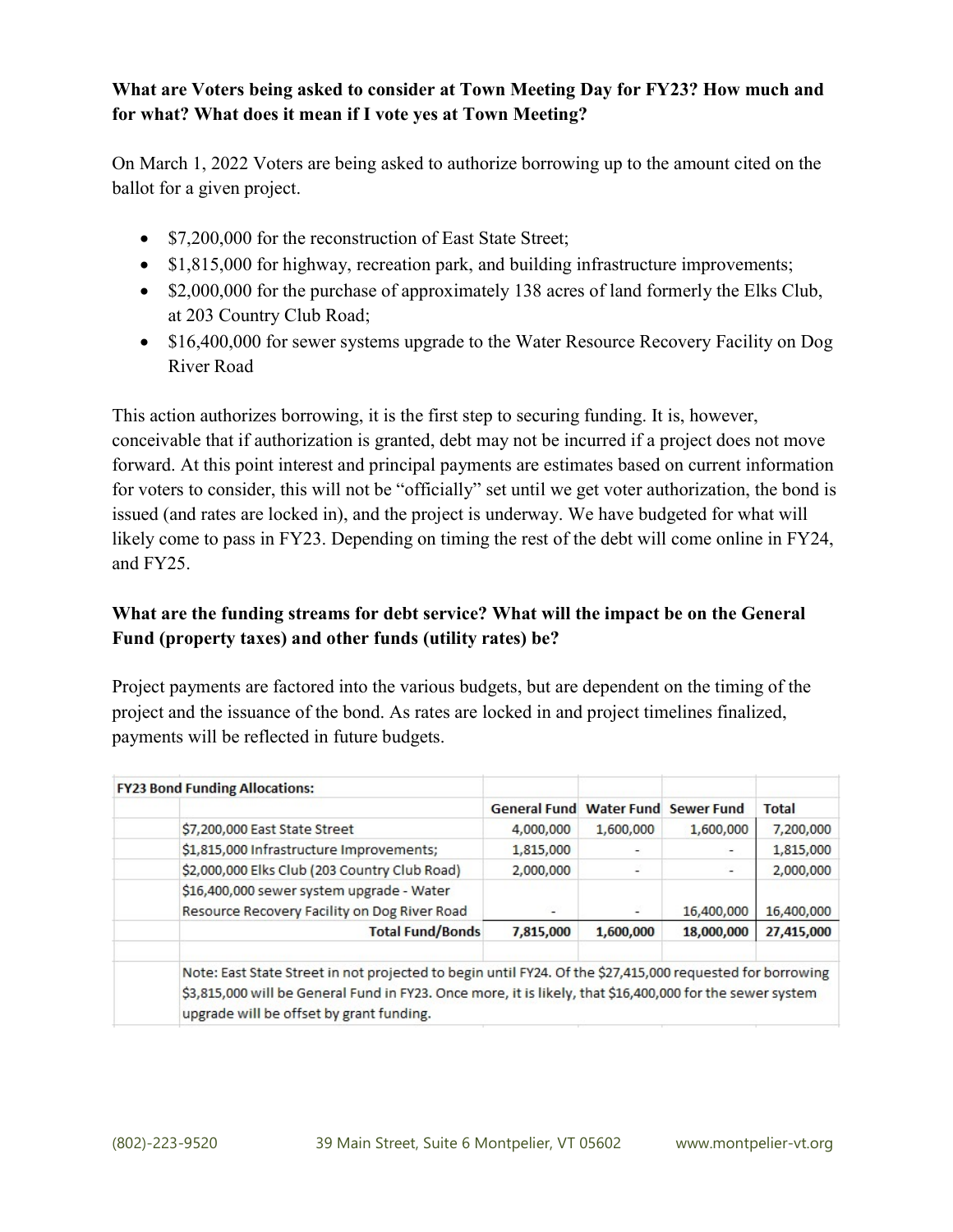# What are Voters being asked to consider at Town Meeting Day for FY23? How much and for what? What does it mean if I vote yes at Town Meeting?

On March 1, 2022 Voters are being asked to authorize borrowing up to the amount cited on the ballot for a given project.

- \$7,200,000 for the reconstruction of East State Street;
- \$1,815,000 for highway, recreation park, and building infrastructure improvements;
- \$2,000,000 for the purchase of approximately 138 acres of land formerly the Elks Club, at 203 Country Club Road;
- \$16,400,000 for sewer systems upgrade to the Water Resource Recovery Facility on Dog River Road

This action authorizes borrowing, it is the first step to securing funding. It is, however, conceivable that if authorization is granted, debt may not be incurred if a project does not move forward. At this point interest and principal payments are estimates based on current information for voters to consider, this will not be "officially" set until we get voter authorization, the bond is issued (and rates are locked in), and the project is underway. We have budgeted for what will likely come to pass in FY23. Depending on timing the rest of the debt will come online in FY24, and FY25.

# What are the funding streams for debt service? What will the impact be on the General Fund (property taxes) and other funds (utility rates) be?

Project payments are factored into the various budgets, but are dependent on the timing of the project and the issuance of the bond. As rates are locked in and project timelines finalized, payments will be reflected in future budgets.

| <b>FY23 Bond Funding Allocations:</b>                                                                                                                                                                                                                              |                     |           |                              |              |
|--------------------------------------------------------------------------------------------------------------------------------------------------------------------------------------------------------------------------------------------------------------------|---------------------|-----------|------------------------------|--------------|
|                                                                                                                                                                                                                                                                    | <b>General Fund</b> |           | <b>Water Fund Sewer Fund</b> | <b>Total</b> |
| \$7,200,000 East State Street                                                                                                                                                                                                                                      | 4,000,000           | 1,600,000 | 1,600,000                    | 7,200,000    |
| \$1,815,000 Infrastructure Improvements;                                                                                                                                                                                                                           | 1,815,000           |           |                              | 1,815,000    |
| \$2,000,000 Elks Club (203 Country Club Road)                                                                                                                                                                                                                      | 2,000,000           |           | -                            | 2,000,000    |
| \$16,400,000 sewer system upgrade - Water                                                                                                                                                                                                                          |                     |           |                              |              |
| Resource Recovery Facility on Dog River Road                                                                                                                                                                                                                       |                     |           | 16,400,000                   | 16,400,000   |
| <b>Total Fund/Bonds</b>                                                                                                                                                                                                                                            | 7,815,000           | 1,600,000 | 18,000,000                   | 27,415,000   |
| Note: East State Street in not projected to begin until FY24. Of the \$27,415,000 requested for borrowing<br>\$3,815,000 will be General Fund in FY23. Once more, it is likely, that \$16,400,000 for the sewer system<br>upgrade will be offset by grant funding. |                     |           |                              |              |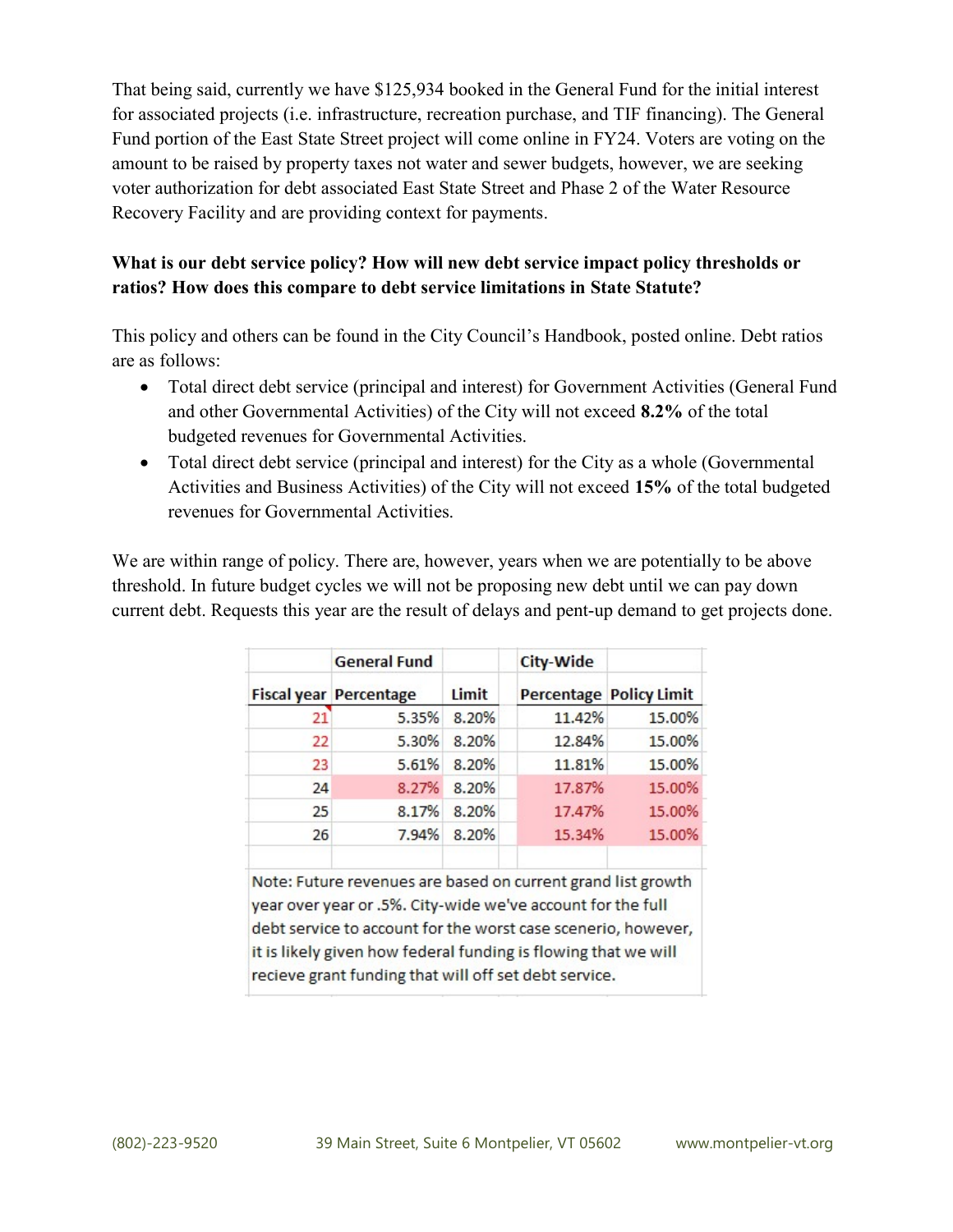That being said, currently we have \$125,934 booked in the General Fund for the initial interest for associated projects (i.e. infrastructure, recreation purchase, and TIF financing). The General Fund portion of the East State Street project will come online in FY24. Voters are voting on the amount to be raised by property taxes not water and sewer budgets, however, we are seeking voter authorization for debt associated East State Street and Phase 2 of the Water Resource Recovery Facility and are providing context for payments.

# What is our debt service policy? How will new debt service impact policy thresholds or ratios? How does this compare to debt service limitations in State Statute?

This policy and others can be found in the City Council's Handbook, posted online. Debt ratios are as follows:

- Total direct debt service (principal and interest) for Government Activities (General Fund and other Governmental Activities) of the City will not exceed 8.2% of the total budgeted revenues for Governmental Activities.
- Total direct debt service (principal and interest) for the City as a whole (Governmental Activities and Business Activities) of the City will not exceed 15% of the total budgeted revenues for Governmental Activities.

We are within range of policy. There are, however, years when we are potentially to be above threshold. In future budget cycles we will not be proposing new debt until we can pay down current debt. Requests this year are the result of delays and pent-up demand to get projects done.

|    | <b>General Fund</b>                                                                                                                                                                                                                                                                                                     |       | <b>City-Wide</b> |                                |  |
|----|-------------------------------------------------------------------------------------------------------------------------------------------------------------------------------------------------------------------------------------------------------------------------------------------------------------------------|-------|------------------|--------------------------------|--|
|    | <b>Fiscal year Percentage</b>                                                                                                                                                                                                                                                                                           | Limit |                  | <b>Percentage Policy Limit</b> |  |
| 21 | 5.35%                                                                                                                                                                                                                                                                                                                   | 8.20% | 11.42%           | 15.00%                         |  |
| 22 | 5.30%                                                                                                                                                                                                                                                                                                                   | 8.20% | 12.84%           | 15.00%                         |  |
| 23 | 5.61%                                                                                                                                                                                                                                                                                                                   | 8.20% | 11.81%           | 15.00%                         |  |
| 24 | 8.27%                                                                                                                                                                                                                                                                                                                   | 8.20% | 17.87%           | 15.00%                         |  |
| 25 | 8.17%                                                                                                                                                                                                                                                                                                                   | 8.20% | 17.47%           | 15.00%                         |  |
| 26 | 7.94%                                                                                                                                                                                                                                                                                                                   | 8.20% | 15.34%           | 15.00%                         |  |
|    | Note: Future revenues are based on current grand list growth<br>year over year or .5%. City-wide we've account for the full<br>debt service to account for the worst case scenerio, however,<br>it is likely given how federal funding is flowing that we will<br>recieve grant funding that will off set debt service. |       |                  |                                |  |